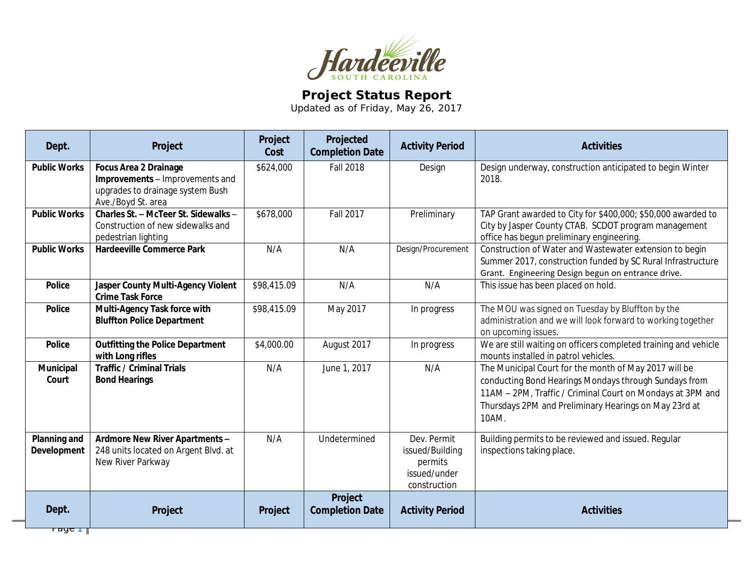

## **Project Status Report**

Updated as of Friday, May 26, 2017

| Dept.                                                           | Project                                                                                                                   | Project<br>Cost | Projected<br><b>Completion Date</b> | <b>Activity Period</b>                                                    | <b>Activities</b>                                                                                                                                                                                                                              |
|-----------------------------------------------------------------|---------------------------------------------------------------------------------------------------------------------------|-----------------|-------------------------------------|---------------------------------------------------------------------------|------------------------------------------------------------------------------------------------------------------------------------------------------------------------------------------------------------------------------------------------|
| <b>Public Works</b>                                             | <b>Focus Area 2 Drainage</b><br>Improvements - Improvements and<br>upgrades to drainage system Bush<br>Ave./Boyd St. area | \$624,000       | <b>Fall 2018</b>                    | Design                                                                    | Design underway, construction anticipated to begin Winter<br>2018.                                                                                                                                                                             |
| <b>Public Works</b>                                             | Charles St. - McTeer St. Sidewalks -<br>Construction of new sidewalks and<br>pedestrian lighting                          | \$678,000       | <b>Fall 2017</b>                    | Preliminary                                                               | TAP Grant awarded to City for \$400,000; \$50,000 awarded to<br>City by Jasper County CTAB. SCDOT program management<br>office has begun preliminary engineering.                                                                              |
| <b>Public Works</b>                                             | <b>Hardeeville Commerce Park</b>                                                                                          | N/A             | N/A                                 | Design/Procurement                                                        | Construction of Water and Wastewater extension to begin<br>Summer 2017, construction funded by SC Rural Infrastructure<br>Grant. Engineering Design begun on entrance drive.                                                                   |
| <b>Police</b>                                                   | Jasper County Multi-Agency Violent<br><b>Crime Task Force</b>                                                             | \$98,415.09     | N/A                                 | N/A                                                                       | This issue has been placed on hold.                                                                                                                                                                                                            |
| <b>Police</b>                                                   | Multi-Agency Task force with<br><b>Bluffton Police Department</b>                                                         | \$98,415.09     | May 2017                            | In progress                                                               | The MOU was signed on Tuesday by Bluffton by the<br>administration and we will look forward to working together<br>on upcoming issues.                                                                                                         |
| <b>Police</b>                                                   | <b>Outfitting the Police Department</b><br>with Long rifles                                                               | \$4,000.00      | August 2017                         | In progress                                                               | We are still waiting on officers completed training and vehicle<br>mounts installed in patrol vehicles.                                                                                                                                        |
| Municipal<br>Court                                              | <b>Traffic / Criminal Trials</b><br><b>Bond Hearings</b>                                                                  | N/A             | June 1, 2017                        | N/A                                                                       | The Municipal Court for the month of May 2017 will be<br>conducting Bond Hearings Mondays through Sundays from<br>11AM - 2PM, Traffic / Criminal Court on Mondays at 3PM and<br>Thursdays 2PM and Preliminary Hearings on May 23rd at<br>10AM. |
| <b>Planning and</b><br>Development                              | Ardmore New River Apartments -<br>248 units located on Argent Blvd. at<br>New River Parkway                               | N/A             | Undetermined                        | Dev. Permit<br>issued/Building<br>permits<br>issued/under<br>construction | Building permits to be reviewed and issued. Regular<br>inspections taking place.                                                                                                                                                               |
| Dept.<br>$\overline{\phantom{a}}$ raye $\overline{\phantom{a}}$ | Project                                                                                                                   | Project         | Project<br><b>Completion Date</b>   | <b>Activity Period</b>                                                    | <b>Activities</b>                                                                                                                                                                                                                              |